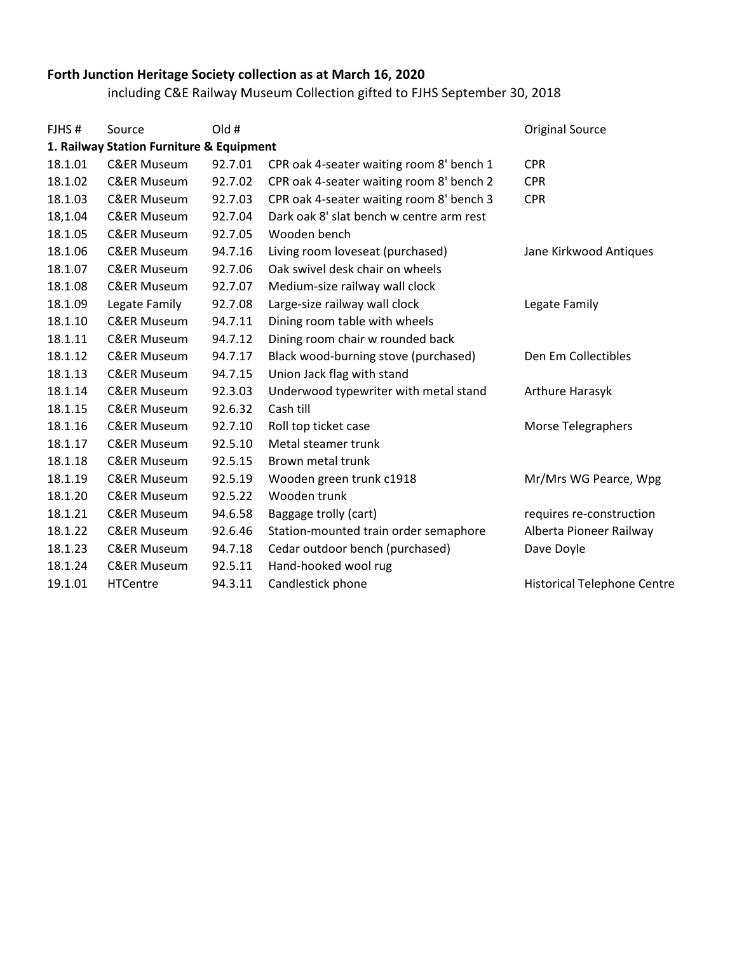## **Forth Junction Heritage Society collection as at March 16, 2020**

including C&E Railway Museum Collection gifted to FJHS September 30, 2018

| 1. Railway Station Furniture & Equipment<br><b>CPR</b><br>18.1.01<br><b>C&amp;ER Museum</b><br>92.7.01<br>CPR oak 4-seater waiting room 8' bench 1<br>18.1.02<br>92.7.02<br>CPR oak 4-seater waiting room 8' bench 2<br><b>CPR</b><br><b>C&amp;ER Museum</b><br>18.1.03<br><b>C&amp;ER Museum</b><br>92.7.03<br>CPR oak 4-seater waiting room 8' bench 3<br><b>CPR</b><br>18,1.04<br>Dark oak 8' slat bench w centre arm rest<br><b>C&amp;ER Museum</b><br>92.7.04<br>18.1.05<br><b>C&amp;ER Museum</b><br>92.7.05<br>Wooden bench<br>18.1.06<br><b>C&amp;ER Museum</b><br>94.7.16<br>Living room loveseat (purchased)<br>Oak swivel desk chair on wheels<br>92.7.06<br>18.1.07<br><b>C&amp;ER Museum</b><br>18.1.08<br><b>C&amp;ER Museum</b><br>92.7.07<br>Medium-size railway wall clock<br>18.1.09<br>Legate Family<br>92.7.08<br>Large-size railway wall clock<br>Legate Family<br>Dining room table with wheels<br>18.1.10<br><b>C&amp;ER Museum</b><br>94.7.11<br>18.1.11<br><b>C&amp;ER Museum</b><br>94.7.12<br>Dining room chair w rounded back<br>18.1.12<br><b>C&amp;ER Museum</b><br>94.7.17<br>Black wood-burning stove (purchased)<br>Den Em Collectibles<br>18.1.13<br>94.7.15<br>Union Jack flag with stand<br><b>C&amp;ER Museum</b><br><b>C&amp;ER Museum</b><br>92.3.03<br>Underwood typewriter with metal stand<br>18.1.14<br>Arthure Harasyk<br>18.1.15<br><b>C&amp;ER Museum</b><br>92.6.32<br>Cash till<br>18.1.16<br><b>C&amp;ER Museum</b><br>92.7.10<br>Roll top ticket case<br>Morse Telegraphers<br><b>C&amp;ER Museum</b><br>92.5.10<br>Metal steamer trunk<br>18.1.17<br>18.1.18<br>92.5.15<br>Brown metal trunk<br><b>C&amp;ER Museum</b><br><b>C&amp;ER Museum</b><br>92.5.19<br>18.1.19<br>Wooden green trunk c1918<br>Wooden trunk<br>92.5.22<br>18.1.20<br><b>C&amp;ER Museum</b><br>18.1.21<br><b>C&amp;ER Museum</b><br>94.6.58<br>Baggage trolly (cart)<br>18.1.22<br><b>C&amp;ER Museum</b><br>92.6.46<br>Station-mounted train order semaphore<br>18.1.23<br><b>C&amp;ER Museum</b><br>94.7.18<br>Cedar outdoor bench (purchased)<br>Dave Doyle<br>18.1.24<br><b>C&amp;ER Museum</b><br>92.5.11<br>Hand-hooked wool rug<br>19.1.01<br><b>HTCentre</b><br>94.3.11 | FJHS# | Source | Old # |                   | <b>Original Source</b>             |
|-----------------------------------------------------------------------------------------------------------------------------------------------------------------------------------------------------------------------------------------------------------------------------------------------------------------------------------------------------------------------------------------------------------------------------------------------------------------------------------------------------------------------------------------------------------------------------------------------------------------------------------------------------------------------------------------------------------------------------------------------------------------------------------------------------------------------------------------------------------------------------------------------------------------------------------------------------------------------------------------------------------------------------------------------------------------------------------------------------------------------------------------------------------------------------------------------------------------------------------------------------------------------------------------------------------------------------------------------------------------------------------------------------------------------------------------------------------------------------------------------------------------------------------------------------------------------------------------------------------------------------------------------------------------------------------------------------------------------------------------------------------------------------------------------------------------------------------------------------------------------------------------------------------------------------------------------------------------------------------------------------------------------------------------------------------------------------------------------------------------------------------------------------------------------------------------------------------|-------|--------|-------|-------------------|------------------------------------|
|                                                                                                                                                                                                                                                                                                                                                                                                                                                                                                                                                                                                                                                                                                                                                                                                                                                                                                                                                                                                                                                                                                                                                                                                                                                                                                                                                                                                                                                                                                                                                                                                                                                                                                                                                                                                                                                                                                                                                                                                                                                                                                                                                                                                           |       |        |       |                   |                                    |
|                                                                                                                                                                                                                                                                                                                                                                                                                                                                                                                                                                                                                                                                                                                                                                                                                                                                                                                                                                                                                                                                                                                                                                                                                                                                                                                                                                                                                                                                                                                                                                                                                                                                                                                                                                                                                                                                                                                                                                                                                                                                                                                                                                                                           |       |        |       |                   |                                    |
|                                                                                                                                                                                                                                                                                                                                                                                                                                                                                                                                                                                                                                                                                                                                                                                                                                                                                                                                                                                                                                                                                                                                                                                                                                                                                                                                                                                                                                                                                                                                                                                                                                                                                                                                                                                                                                                                                                                                                                                                                                                                                                                                                                                                           |       |        |       |                   |                                    |
|                                                                                                                                                                                                                                                                                                                                                                                                                                                                                                                                                                                                                                                                                                                                                                                                                                                                                                                                                                                                                                                                                                                                                                                                                                                                                                                                                                                                                                                                                                                                                                                                                                                                                                                                                                                                                                                                                                                                                                                                                                                                                                                                                                                                           |       |        |       |                   |                                    |
|                                                                                                                                                                                                                                                                                                                                                                                                                                                                                                                                                                                                                                                                                                                                                                                                                                                                                                                                                                                                                                                                                                                                                                                                                                                                                                                                                                                                                                                                                                                                                                                                                                                                                                                                                                                                                                                                                                                                                                                                                                                                                                                                                                                                           |       |        |       |                   |                                    |
|                                                                                                                                                                                                                                                                                                                                                                                                                                                                                                                                                                                                                                                                                                                                                                                                                                                                                                                                                                                                                                                                                                                                                                                                                                                                                                                                                                                                                                                                                                                                                                                                                                                                                                                                                                                                                                                                                                                                                                                                                                                                                                                                                                                                           |       |        |       |                   |                                    |
|                                                                                                                                                                                                                                                                                                                                                                                                                                                                                                                                                                                                                                                                                                                                                                                                                                                                                                                                                                                                                                                                                                                                                                                                                                                                                                                                                                                                                                                                                                                                                                                                                                                                                                                                                                                                                                                                                                                                                                                                                                                                                                                                                                                                           |       |        |       |                   | Jane Kirkwood Antiques             |
|                                                                                                                                                                                                                                                                                                                                                                                                                                                                                                                                                                                                                                                                                                                                                                                                                                                                                                                                                                                                                                                                                                                                                                                                                                                                                                                                                                                                                                                                                                                                                                                                                                                                                                                                                                                                                                                                                                                                                                                                                                                                                                                                                                                                           |       |        |       |                   |                                    |
|                                                                                                                                                                                                                                                                                                                                                                                                                                                                                                                                                                                                                                                                                                                                                                                                                                                                                                                                                                                                                                                                                                                                                                                                                                                                                                                                                                                                                                                                                                                                                                                                                                                                                                                                                                                                                                                                                                                                                                                                                                                                                                                                                                                                           |       |        |       |                   |                                    |
|                                                                                                                                                                                                                                                                                                                                                                                                                                                                                                                                                                                                                                                                                                                                                                                                                                                                                                                                                                                                                                                                                                                                                                                                                                                                                                                                                                                                                                                                                                                                                                                                                                                                                                                                                                                                                                                                                                                                                                                                                                                                                                                                                                                                           |       |        |       |                   |                                    |
|                                                                                                                                                                                                                                                                                                                                                                                                                                                                                                                                                                                                                                                                                                                                                                                                                                                                                                                                                                                                                                                                                                                                                                                                                                                                                                                                                                                                                                                                                                                                                                                                                                                                                                                                                                                                                                                                                                                                                                                                                                                                                                                                                                                                           |       |        |       |                   |                                    |
|                                                                                                                                                                                                                                                                                                                                                                                                                                                                                                                                                                                                                                                                                                                                                                                                                                                                                                                                                                                                                                                                                                                                                                                                                                                                                                                                                                                                                                                                                                                                                                                                                                                                                                                                                                                                                                                                                                                                                                                                                                                                                                                                                                                                           |       |        |       |                   |                                    |
|                                                                                                                                                                                                                                                                                                                                                                                                                                                                                                                                                                                                                                                                                                                                                                                                                                                                                                                                                                                                                                                                                                                                                                                                                                                                                                                                                                                                                                                                                                                                                                                                                                                                                                                                                                                                                                                                                                                                                                                                                                                                                                                                                                                                           |       |        |       |                   |                                    |
|                                                                                                                                                                                                                                                                                                                                                                                                                                                                                                                                                                                                                                                                                                                                                                                                                                                                                                                                                                                                                                                                                                                                                                                                                                                                                                                                                                                                                                                                                                                                                                                                                                                                                                                                                                                                                                                                                                                                                                                                                                                                                                                                                                                                           |       |        |       |                   |                                    |
|                                                                                                                                                                                                                                                                                                                                                                                                                                                                                                                                                                                                                                                                                                                                                                                                                                                                                                                                                                                                                                                                                                                                                                                                                                                                                                                                                                                                                                                                                                                                                                                                                                                                                                                                                                                                                                                                                                                                                                                                                                                                                                                                                                                                           |       |        |       |                   |                                    |
|                                                                                                                                                                                                                                                                                                                                                                                                                                                                                                                                                                                                                                                                                                                                                                                                                                                                                                                                                                                                                                                                                                                                                                                                                                                                                                                                                                                                                                                                                                                                                                                                                                                                                                                                                                                                                                                                                                                                                                                                                                                                                                                                                                                                           |       |        |       |                   |                                    |
|                                                                                                                                                                                                                                                                                                                                                                                                                                                                                                                                                                                                                                                                                                                                                                                                                                                                                                                                                                                                                                                                                                                                                                                                                                                                                                                                                                                                                                                                                                                                                                                                                                                                                                                                                                                                                                                                                                                                                                                                                                                                                                                                                                                                           |       |        |       |                   |                                    |
|                                                                                                                                                                                                                                                                                                                                                                                                                                                                                                                                                                                                                                                                                                                                                                                                                                                                                                                                                                                                                                                                                                                                                                                                                                                                                                                                                                                                                                                                                                                                                                                                                                                                                                                                                                                                                                                                                                                                                                                                                                                                                                                                                                                                           |       |        |       |                   |                                    |
|                                                                                                                                                                                                                                                                                                                                                                                                                                                                                                                                                                                                                                                                                                                                                                                                                                                                                                                                                                                                                                                                                                                                                                                                                                                                                                                                                                                                                                                                                                                                                                                                                                                                                                                                                                                                                                                                                                                                                                                                                                                                                                                                                                                                           |       |        |       |                   |                                    |
|                                                                                                                                                                                                                                                                                                                                                                                                                                                                                                                                                                                                                                                                                                                                                                                                                                                                                                                                                                                                                                                                                                                                                                                                                                                                                                                                                                                                                                                                                                                                                                                                                                                                                                                                                                                                                                                                                                                                                                                                                                                                                                                                                                                                           |       |        |       |                   | Mr/Mrs WG Pearce, Wpg              |
|                                                                                                                                                                                                                                                                                                                                                                                                                                                                                                                                                                                                                                                                                                                                                                                                                                                                                                                                                                                                                                                                                                                                                                                                                                                                                                                                                                                                                                                                                                                                                                                                                                                                                                                                                                                                                                                                                                                                                                                                                                                                                                                                                                                                           |       |        |       |                   |                                    |
|                                                                                                                                                                                                                                                                                                                                                                                                                                                                                                                                                                                                                                                                                                                                                                                                                                                                                                                                                                                                                                                                                                                                                                                                                                                                                                                                                                                                                                                                                                                                                                                                                                                                                                                                                                                                                                                                                                                                                                                                                                                                                                                                                                                                           |       |        |       |                   | requires re-construction           |
|                                                                                                                                                                                                                                                                                                                                                                                                                                                                                                                                                                                                                                                                                                                                                                                                                                                                                                                                                                                                                                                                                                                                                                                                                                                                                                                                                                                                                                                                                                                                                                                                                                                                                                                                                                                                                                                                                                                                                                                                                                                                                                                                                                                                           |       |        |       |                   | Alberta Pioneer Railway            |
|                                                                                                                                                                                                                                                                                                                                                                                                                                                                                                                                                                                                                                                                                                                                                                                                                                                                                                                                                                                                                                                                                                                                                                                                                                                                                                                                                                                                                                                                                                                                                                                                                                                                                                                                                                                                                                                                                                                                                                                                                                                                                                                                                                                                           |       |        |       |                   |                                    |
|                                                                                                                                                                                                                                                                                                                                                                                                                                                                                                                                                                                                                                                                                                                                                                                                                                                                                                                                                                                                                                                                                                                                                                                                                                                                                                                                                                                                                                                                                                                                                                                                                                                                                                                                                                                                                                                                                                                                                                                                                                                                                                                                                                                                           |       |        |       |                   |                                    |
|                                                                                                                                                                                                                                                                                                                                                                                                                                                                                                                                                                                                                                                                                                                                                                                                                                                                                                                                                                                                                                                                                                                                                                                                                                                                                                                                                                                                                                                                                                                                                                                                                                                                                                                                                                                                                                                                                                                                                                                                                                                                                                                                                                                                           |       |        |       | Candlestick phone | <b>Historical Telephone Centre</b> |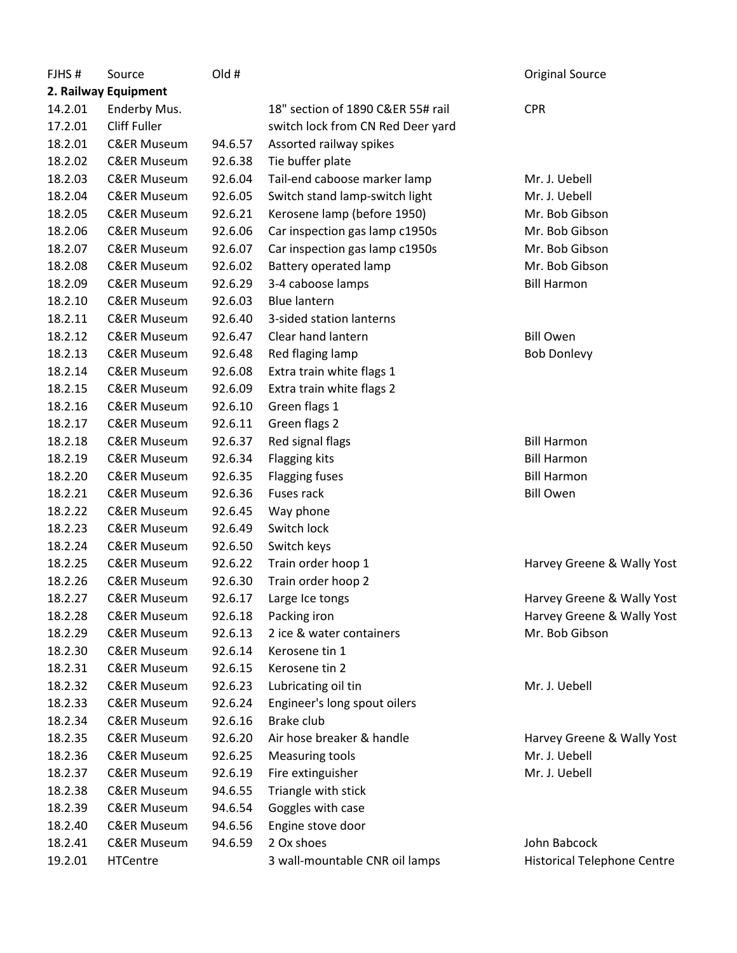| FJHS#   | Source                 | Old #   |                                   | <b>Original Source</b>             |
|---------|------------------------|---------|-----------------------------------|------------------------------------|
|         | 2. Railway Equipment   |         |                                   |                                    |
| 14.2.01 | Enderby Mus.           |         | 18" section of 1890 C&ER 55# rail | <b>CPR</b>                         |
| 17.2.01 | <b>Cliff Fuller</b>    |         | switch lock from CN Red Deer yard |                                    |
| 18.2.01 | <b>C&amp;ER Museum</b> | 94.6.57 | Assorted railway spikes           |                                    |
| 18.2.02 | <b>C&amp;ER Museum</b> | 92.6.38 | Tie buffer plate                  |                                    |
| 18.2.03 | <b>C&amp;ER Museum</b> | 92.6.04 | Tail-end caboose marker lamp      | Mr. J. Uebell                      |
| 18.2.04 | <b>C&amp;ER Museum</b> | 92.6.05 | Switch stand lamp-switch light    | Mr. J. Uebell                      |
| 18.2.05 | <b>C&amp;ER Museum</b> | 92.6.21 | Kerosene lamp (before 1950)       | Mr. Bob Gibson                     |
| 18.2.06 | <b>C&amp;ER Museum</b> | 92.6.06 | Car inspection gas lamp c1950s    | Mr. Bob Gibson                     |
| 18.2.07 | <b>C&amp;ER Museum</b> | 92.6.07 | Car inspection gas lamp c1950s    | Mr. Bob Gibson                     |
| 18.2.08 | <b>C&amp;ER Museum</b> | 92.6.02 | <b>Battery operated lamp</b>      | Mr. Bob Gibson                     |
| 18.2.09 | <b>C&amp;ER Museum</b> | 92.6.29 | 3-4 caboose lamps                 | <b>Bill Harmon</b>                 |
| 18.2.10 | <b>C&amp;ER Museum</b> | 92.6.03 | <b>Blue lantern</b>               |                                    |
| 18.2.11 | <b>C&amp;ER Museum</b> | 92.6.40 | 3-sided station lanterns          |                                    |
| 18.2.12 | <b>C&amp;ER Museum</b> | 92.6.47 | Clear hand lantern                | <b>Bill Owen</b>                   |
| 18.2.13 | <b>C&amp;ER Museum</b> | 92.6.48 | Red flaging lamp                  | <b>Bob Donlevy</b>                 |
| 18.2.14 | <b>C&amp;ER Museum</b> | 92.6.08 | Extra train white flags 1         |                                    |
| 18.2.15 | <b>C&amp;ER Museum</b> | 92.6.09 | Extra train white flags 2         |                                    |
| 18.2.16 | <b>C&amp;ER Museum</b> | 92.6.10 | Green flags 1                     |                                    |
| 18.2.17 | <b>C&amp;ER Museum</b> | 92.6.11 | Green flags 2                     |                                    |
| 18.2.18 | <b>C&amp;ER Museum</b> | 92.6.37 | Red signal flags                  | <b>Bill Harmon</b>                 |
| 18.2.19 | <b>C&amp;ER Museum</b> | 92.6.34 | Flagging kits                     | <b>Bill Harmon</b>                 |
| 18.2.20 | <b>C&amp;ER Museum</b> | 92.6.35 | <b>Flagging fuses</b>             | <b>Bill Harmon</b>                 |
| 18.2.21 | <b>C&amp;ER Museum</b> | 92.6.36 | Fuses rack                        | <b>Bill Owen</b>                   |
| 18.2.22 | <b>C&amp;ER Museum</b> | 92.6.45 | Way phone                         |                                    |
| 18.2.23 | <b>C&amp;ER Museum</b> | 92.6.49 | Switch lock                       |                                    |
| 18.2.24 | <b>C&amp;ER Museum</b> | 92.6.50 | Switch keys                       |                                    |
| 18.2.25 | <b>C&amp;ER Museum</b> | 92.6.22 | Train order hoop 1                | Harvey Greene & Wally Yost         |
| 18.2.26 | <b>C&amp;ER Museum</b> | 92.6.30 | Train order hoop 2                |                                    |
| 18.2.27 | <b>C&amp;ER Museum</b> | 92.6.17 | Large Ice tongs                   | Harvey Greene & Wally Yost         |
| 18.2.28 | <b>C&amp;ER Museum</b> | 92.6.18 | Packing iron                      | Harvey Greene & Wally Yost         |
| 18.2.29 | <b>C&amp;ER Museum</b> | 92.6.13 | 2 ice & water containers          | Mr. Bob Gibson                     |
| 18.2.30 | <b>C&amp;ER Museum</b> | 92.6.14 | Kerosene tin 1                    |                                    |
| 18.2.31 | <b>C&amp;ER Museum</b> | 92.6.15 | Kerosene tin 2                    |                                    |
| 18.2.32 | <b>C&amp;ER Museum</b> | 92.6.23 | Lubricating oil tin               | Mr. J. Uebell                      |
| 18.2.33 | <b>C&amp;ER Museum</b> | 92.6.24 | Engineer's long spout oilers      |                                    |
| 18.2.34 | <b>C&amp;ER Museum</b> | 92.6.16 | Brake club                        |                                    |
| 18.2.35 | <b>C&amp;ER Museum</b> | 92.6.20 | Air hose breaker & handle         | Harvey Greene & Wally Yost         |
| 18.2.36 | <b>C&amp;ER Museum</b> | 92.6.25 | <b>Measuring tools</b>            | Mr. J. Uebell                      |
| 18.2.37 | <b>C&amp;ER Museum</b> | 92.6.19 | Fire extinguisher                 | Mr. J. Uebell                      |
|         |                        |         |                                   |                                    |
| 18.2.38 | <b>C&amp;ER Museum</b> | 94.6.55 | Triangle with stick               |                                    |
| 18.2.39 | <b>C&amp;ER Museum</b> | 94.6.54 | Goggles with case                 |                                    |
| 18.2.40 | <b>C&amp;ER Museum</b> | 94.6.56 | Engine stove door                 |                                    |
| 18.2.41 | <b>C&amp;ER Museum</b> | 94.6.59 | 2 Ox shoes                        | John Babcock                       |
| 19.2.01 | <b>HTCentre</b>        |         | 3 wall-mountable CNR oil lamps    | <b>Historical Telephone Centre</b> |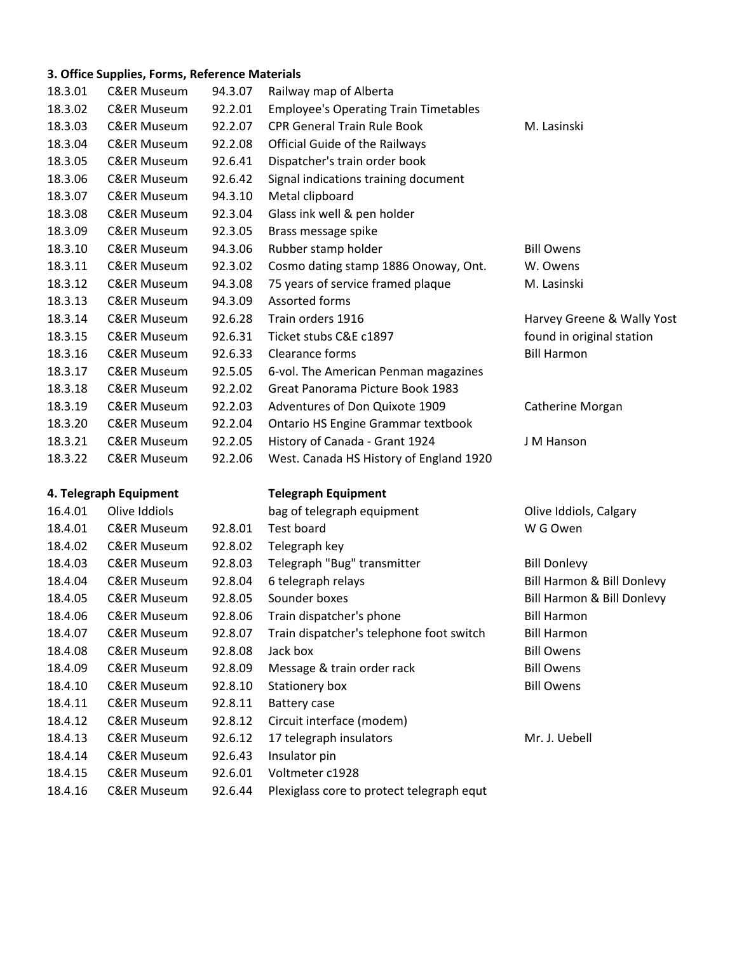## **3. Office Supplies, Forms, Reference Materials**

| 18.3.01 | <b>C&amp;ER Museum</b> | 94.3.07 | Railway map of Alberta                       |                            |
|---------|------------------------|---------|----------------------------------------------|----------------------------|
| 18.3.02 | <b>C&amp;ER Museum</b> | 92.2.01 | <b>Employee's Operating Train Timetables</b> |                            |
| 18.3.03 | <b>C&amp;ER Museum</b> | 92.2.07 | <b>CPR General Train Rule Book</b>           | M. Lasinski                |
| 18.3.04 | <b>C&amp;ER Museum</b> | 92.2.08 | <b>Official Guide of the Railways</b>        |                            |
| 18.3.05 | <b>C&amp;ER Museum</b> | 92.6.41 | Dispatcher's train order book                |                            |
| 18.3.06 | <b>C&amp;ER Museum</b> | 92.6.42 | Signal indications training document         |                            |
| 18.3.07 | <b>C&amp;ER Museum</b> | 94.3.10 | Metal clipboard                              |                            |
| 18.3.08 | <b>C&amp;ER Museum</b> | 92.3.04 | Glass ink well & pen holder                  |                            |
| 18.3.09 | <b>C&amp;ER Museum</b> | 92.3.05 | Brass message spike                          |                            |
| 18.3.10 | <b>C&amp;ER Museum</b> | 94.3.06 | Rubber stamp holder                          | <b>Bill Owens</b>          |
| 18.3.11 | <b>C&amp;ER Museum</b> | 92.3.02 | Cosmo dating stamp 1886 Onoway, Ont.         | W. Owens                   |
| 18.3.12 | <b>C&amp;ER Museum</b> | 94.3.08 | 75 years of service framed plaque            | M. Lasinski                |
| 18.3.13 | <b>C&amp;ER Museum</b> | 94.3.09 | Assorted forms                               |                            |
| 18.3.14 | <b>C&amp;ER Museum</b> | 92.6.28 | Train orders 1916                            | Harvey Greene & Wally Yost |
| 18.3.15 | <b>C&amp;ER Museum</b> | 92.6.31 | Ticket stubs C&E c1897                       | found in original station  |
| 18.3.16 | <b>C&amp;ER Museum</b> | 92.6.33 | Clearance forms                              | <b>Bill Harmon</b>         |
| 18.3.17 | <b>C&amp;ER Museum</b> | 92.5.05 | 6-vol. The American Penman magazines         |                            |
| 18.3.18 | <b>C&amp;ER Museum</b> | 92.2.02 | Great Panorama Picture Book 1983             |                            |
| 18.3.19 | <b>C&amp;ER Museum</b> | 92.2.03 | Adventures of Don Quixote 1909               | Catherine Morgan           |
| 18.3.20 | <b>C&amp;ER Museum</b> | 92.2.04 | Ontario HS Engine Grammar textbook           |                            |
| 18.3.21 | <b>C&amp;ER Museum</b> | 92.2.05 | History of Canada - Grant 1924               | J M Hanson                 |
| 18.3.22 | <b>C&amp;ER Museum</b> | 92.2.06 | West. Canada HS History of England 1920      |                            |
|         | 4. Telegraph Equipment |         | <b>Telegraph Equipment</b>                   |                            |
| 16.4.01 | Olive Iddiols          |         | bag of telegraph equipment                   | Olive Iddiols, Calgary     |
|         |                        |         |                                              |                            |

| 18.4.01 | <b>C&amp;ER Museum</b> | 92.8.01 | Test board                                | W G Owen                   |
|---------|------------------------|---------|-------------------------------------------|----------------------------|
| 18.4.02 | <b>C&amp;ER Museum</b> | 92.8.02 | Telegraph key                             |                            |
| 18.4.03 | <b>C&amp;ER Museum</b> | 92.8.03 | Telegraph "Bug" transmitter               | <b>Bill Donlevy</b>        |
| 18.4.04 | <b>C&amp;ER Museum</b> | 92.8.04 | 6 telegraph relays                        | Bill Harmon & Bill Donlevy |
| 18.4.05 | <b>C&amp;ER Museum</b> | 92.8.05 | Sounder boxes                             | Bill Harmon & Bill Donlevy |
| 18.4.06 | <b>C&amp;ER Museum</b> | 92.8.06 | Train dispatcher's phone                  | <b>Bill Harmon</b>         |
| 18.4.07 | <b>C&amp;ER Museum</b> | 92.8.07 | Train dispatcher's telephone foot switch  | <b>Bill Harmon</b>         |
| 18.4.08 | <b>C&amp;ER Museum</b> | 92.8.08 | Jack box                                  | <b>Bill Owens</b>          |
| 18.4.09 | <b>C&amp;ER Museum</b> | 92.8.09 | Message & train order rack                | <b>Bill Owens</b>          |
| 18.4.10 | <b>C&amp;ER Museum</b> | 92.8.10 | Stationery box                            | <b>Bill Owens</b>          |
| 18.4.11 | <b>C&amp;ER Museum</b> | 92.8.11 | Battery case                              |                            |
| 18.4.12 | <b>C&amp;ER Museum</b> | 92.8.12 | Circuit interface (modem)                 |                            |
| 18.4.13 | <b>C&amp;ER Museum</b> | 92.6.12 | 17 telegraph insulators                   | Mr. J. Uebell              |
| 18.4.14 | <b>C&amp;ER Museum</b> | 92.6.43 | Insulator pin                             |                            |
| 18.4.15 | <b>C&amp;ER Museum</b> | 92.6.01 | Voltmeter c1928                           |                            |
| 18.4.16 | <b>C&amp;ER Museum</b> | 92.6.44 | Plexiglass core to protect telegraph equt |                            |
|         |                        |         |                                           |                            |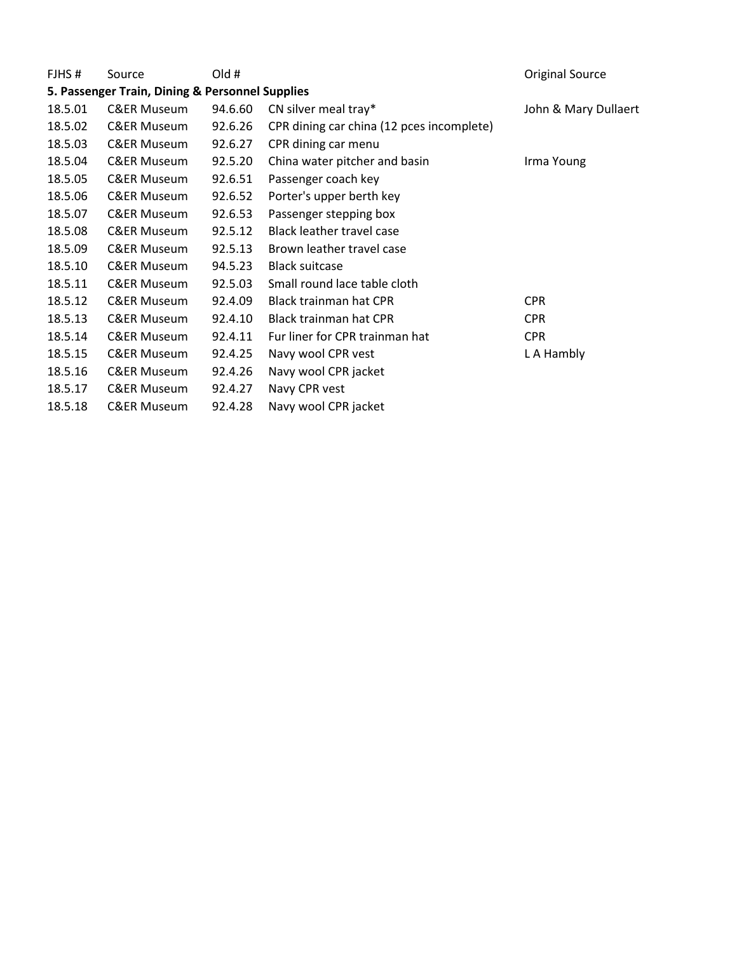| FJHS#   | Source                                          | Old #   |                                           | <b>Original Source</b> |
|---------|-------------------------------------------------|---------|-------------------------------------------|------------------------|
|         | 5. Passenger Train, Dining & Personnel Supplies |         |                                           |                        |
| 18.5.01 | <b>C&amp;ER Museum</b>                          | 94.6.60 | CN silver meal tray*                      | John & Mary Dullaert   |
| 18.5.02 | <b>C&amp;ER Museum</b>                          | 92.6.26 | CPR dining car china (12 pces incomplete) |                        |
| 18.5.03 | <b>C&amp;ER Museum</b>                          | 92.6.27 | CPR dining car menu                       |                        |
| 18.5.04 | <b>C&amp;ER Museum</b>                          | 92.5.20 | China water pitcher and basin             | Irma Young             |
| 18.5.05 | <b>C&amp;ER Museum</b>                          | 92.6.51 | Passenger coach key                       |                        |
| 18.5.06 | <b>C&amp;ER Museum</b>                          | 92.6.52 | Porter's upper berth key                  |                        |
| 18.5.07 | <b>C&amp;ER Museum</b>                          | 92.6.53 | Passenger stepping box                    |                        |
| 18.5.08 | <b>C&amp;ER Museum</b>                          | 92.5.12 | Black leather travel case                 |                        |
| 18.5.09 | <b>C&amp;ER Museum</b>                          | 92.5.13 | Brown leather travel case                 |                        |
| 18.5.10 | <b>C&amp;ER Museum</b>                          | 94.5.23 | <b>Black suitcase</b>                     |                        |
| 18.5.11 | <b>C&amp;ER Museum</b>                          | 92.5.03 | Small round lace table cloth              |                        |
| 18.5.12 | <b>C&amp;ER Museum</b>                          | 92.4.09 | <b>Black trainman hat CPR</b>             | <b>CPR</b>             |
| 18.5.13 | <b>C&amp;ER Museum</b>                          | 92.4.10 | Black trainman hat CPR                    | <b>CPR</b>             |
| 18.5.14 | <b>C&amp;ER Museum</b>                          | 92.4.11 | Fur liner for CPR trainman hat            | <b>CPR</b>             |
| 18.5.15 | <b>C&amp;ER Museum</b>                          | 92.4.25 | Navy wool CPR vest                        | L A Hambly             |
| 18.5.16 | <b>C&amp;ER Museum</b>                          | 92.4.26 | Navy wool CPR jacket                      |                        |
| 18.5.17 | <b>C&amp;ER Museum</b>                          | 92.4.27 | Navy CPR vest                             |                        |
| 18.5.18 | <b>C&amp;ER Museum</b>                          | 92.4.28 | Navy wool CPR jacket                      |                        |
|         |                                                 |         |                                           |                        |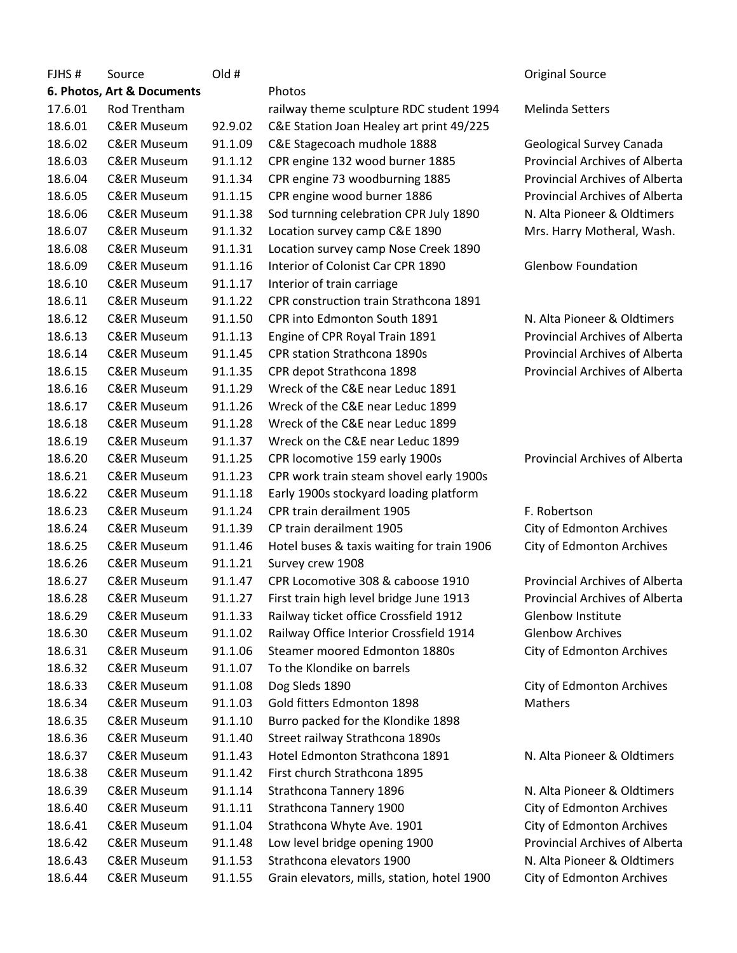| FJHS#   | Source                     | Old #   |                                             | <b>Original Source</b>                |
|---------|----------------------------|---------|---------------------------------------------|---------------------------------------|
|         | 6. Photos, Art & Documents |         | Photos                                      |                                       |
| 17.6.01 | Rod Trentham               |         | railway theme sculpture RDC student 1994    | <b>Melinda Setters</b>                |
| 18.6.01 | <b>C&amp;ER Museum</b>     | 92.9.02 | C&E Station Joan Healey art print 49/225    |                                       |
| 18.6.02 | <b>C&amp;ER Museum</b>     | 91.1.09 | C&E Stagecoach mudhole 1888                 | Geological Survey Canada              |
| 18.6.03 | <b>C&amp;ER Museum</b>     | 91.1.12 | CPR engine 132 wood burner 1885             | <b>Provincial Archives of Alberta</b> |
| 18.6.04 | <b>C&amp;ER Museum</b>     | 91.1.34 | CPR engine 73 woodburning 1885              | <b>Provincial Archives of Alberta</b> |
| 18.6.05 | <b>C&amp;ER Museum</b>     | 91.1.15 | CPR engine wood burner 1886                 | <b>Provincial Archives of Alberta</b> |
| 18.6.06 | <b>C&amp;ER Museum</b>     | 91.1.38 | Sod turnning celebration CPR July 1890      | N. Alta Pioneer & Oldtimers           |
| 18.6.07 | <b>C&amp;ER Museum</b>     | 91.1.32 | Location survey camp C&E 1890               | Mrs. Harry Motheral, Wash.            |
| 18.6.08 | <b>C&amp;ER Museum</b>     | 91.1.31 | Location survey camp Nose Creek 1890        |                                       |
| 18.6.09 | <b>C&amp;ER Museum</b>     | 91.1.16 | Interior of Colonist Car CPR 1890           | <b>Glenbow Foundation</b>             |
| 18.6.10 | <b>C&amp;ER Museum</b>     | 91.1.17 | Interior of train carriage                  |                                       |
| 18.6.11 | <b>C&amp;ER Museum</b>     | 91.1.22 | CPR construction train Strathcona 1891      |                                       |
| 18.6.12 | <b>C&amp;ER Museum</b>     | 91.1.50 | CPR into Edmonton South 1891                | N. Alta Pioneer & Oldtimers           |
| 18.6.13 | <b>C&amp;ER Museum</b>     | 91.1.13 | Engine of CPR Royal Train 1891              | <b>Provincial Archives of Alberta</b> |
| 18.6.14 | <b>C&amp;ER Museum</b>     | 91.1.45 | <b>CPR station Strathcona 1890s</b>         | <b>Provincial Archives of Alberta</b> |
| 18.6.15 | <b>C&amp;ER Museum</b>     | 91.1.35 | CPR depot Strathcona 1898                   | <b>Provincial Archives of Alberta</b> |
| 18.6.16 | <b>C&amp;ER Museum</b>     | 91.1.29 | Wreck of the C&E near Leduc 1891            |                                       |
| 18.6.17 | <b>C&amp;ER Museum</b>     | 91.1.26 | Wreck of the C&E near Leduc 1899            |                                       |
| 18.6.18 | <b>C&amp;ER Museum</b>     | 91.1.28 | Wreck of the C&E near Leduc 1899            |                                       |
| 18.6.19 | <b>C&amp;ER Museum</b>     | 91.1.37 | Wreck on the C&E near Leduc 1899            |                                       |
| 18.6.20 | <b>C&amp;ER Museum</b>     | 91.1.25 | CPR locomotive 159 early 1900s              | <b>Provincial Archives of Alberta</b> |
| 18.6.21 | <b>C&amp;ER Museum</b>     | 91.1.23 | CPR work train steam shovel early 1900s     |                                       |
| 18.6.22 | <b>C&amp;ER Museum</b>     | 91.1.18 | Early 1900s stockyard loading platform      |                                       |
| 18.6.23 | <b>C&amp;ER Museum</b>     | 91.1.24 | CPR train derailment 1905                   | F. Robertson                          |
| 18.6.24 | <b>C&amp;ER Museum</b>     | 91.1.39 | CP train derailment 1905                    | City of Edmonton Archives             |
| 18.6.25 | <b>C&amp;ER Museum</b>     | 91.1.46 | Hotel buses & taxis waiting for train 1906  | City of Edmonton Archives             |
| 18.6.26 | <b>C&amp;ER Museum</b>     | 91.1.21 | Survey crew 1908                            |                                       |
| 18.6.27 | <b>C&amp;ER Museum</b>     | 91.1.47 | CPR Locomotive 308 & caboose 1910           | <b>Provincial Archives of Alberta</b> |
| 18.6.28 | <b>C&amp;ER Museum</b>     | 91.1.27 | First train high level bridge June 1913     | Provincial Archives of Alberta        |
| 18.6.29 | <b>C&amp;ER Museum</b>     | 91.1.33 | Railway ticket office Crossfield 1912       | Glenbow Institute                     |
| 18.6.30 | <b>C&amp;ER Museum</b>     | 91.1.02 | Railway Office Interior Crossfield 1914     | <b>Glenbow Archives</b>               |
| 18.6.31 | <b>C&amp;ER Museum</b>     | 91.1.06 | Steamer moored Edmonton 1880s               | City of Edmonton Archives             |
| 18.6.32 | <b>C&amp;ER Museum</b>     | 91.1.07 | To the Klondike on barrels                  |                                       |
| 18.6.33 | <b>C&amp;ER Museum</b>     | 91.1.08 | Dog Sleds 1890                              | City of Edmonton Archives             |
| 18.6.34 | <b>C&amp;ER Museum</b>     | 91.1.03 | Gold fitters Edmonton 1898                  | <b>Mathers</b>                        |
| 18.6.35 | <b>C&amp;ER Museum</b>     | 91.1.10 | Burro packed for the Klondike 1898          |                                       |
| 18.6.36 | <b>C&amp;ER Museum</b>     | 91.1.40 | Street railway Strathcona 1890s             |                                       |
| 18.6.37 | <b>C&amp;ER Museum</b>     | 91.1.43 | Hotel Edmonton Strathcona 1891              | N. Alta Pioneer & Oldtimers           |
| 18.6.38 | <b>C&amp;ER Museum</b>     | 91.1.42 | First church Strathcona 1895                |                                       |
| 18.6.39 | <b>C&amp;ER Museum</b>     | 91.1.14 | Strathcona Tannery 1896                     | N. Alta Pioneer & Oldtimers           |
| 18.6.40 | <b>C&amp;ER Museum</b>     | 91.1.11 | Strathcona Tannery 1900                     | City of Edmonton Archives             |
| 18.6.41 | <b>C&amp;ER Museum</b>     | 91.1.04 | Strathcona Whyte Ave. 1901                  | City of Edmonton Archives             |
| 18.6.42 | <b>C&amp;ER Museum</b>     | 91.1.48 | Low level bridge opening 1900               | Provincial Archives of Alberta        |
| 18.6.43 | <b>C&amp;ER Museum</b>     | 91.1.53 | Strathcona elevators 1900                   | N. Alta Pioneer & Oldtimers           |
| 18.6.44 | <b>C&amp;ER Museum</b>     | 91.1.55 | Grain elevators, mills, station, hotel 1900 | City of Edmonton Archives             |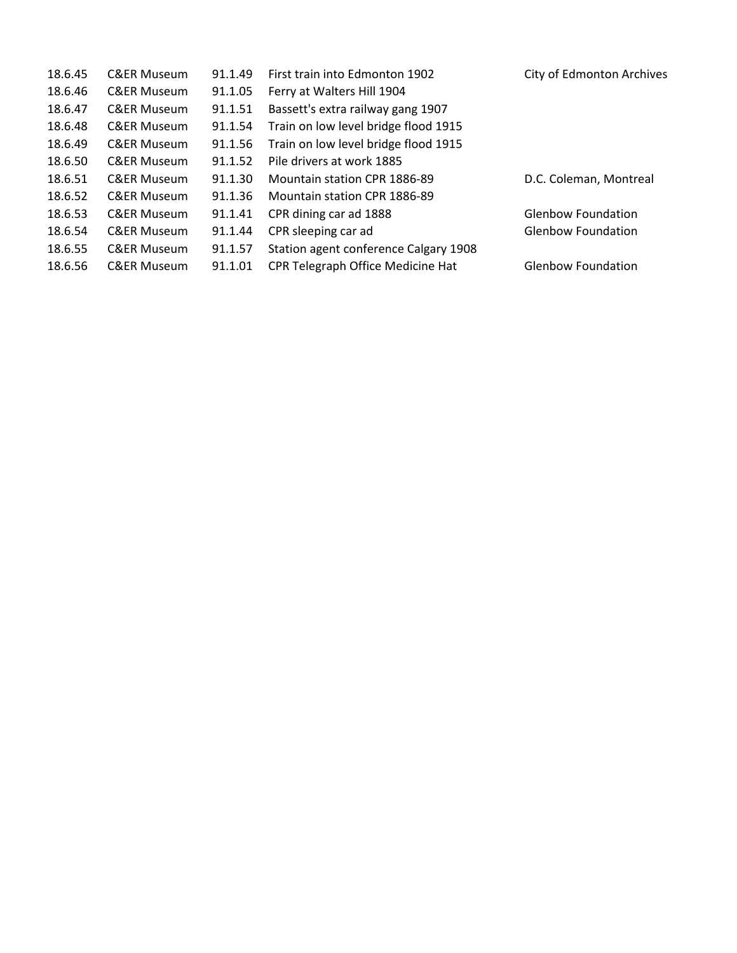| <b>C&amp;ER Museum</b> | 91.1.49 | First train into Edmonton 1902        | City of Edmonton Archives |
|------------------------|---------|---------------------------------------|---------------------------|
| <b>C&amp;ER Museum</b> | 91.1.05 | Ferry at Walters Hill 1904            |                           |
| <b>C&amp;ER Museum</b> | 91.1.51 | Bassett's extra railway gang 1907     |                           |
| <b>C&amp;ER Museum</b> | 91.1.54 | Train on low level bridge flood 1915  |                           |
| <b>C&amp;ER Museum</b> | 91.1.56 | Train on low level bridge flood 1915  |                           |
| <b>C&amp;ER Museum</b> | 91.1.52 | Pile drivers at work 1885             |                           |
| <b>C&amp;ER Museum</b> | 91.1.30 | Mountain station CPR 1886-89          | D.C. Coleman, Montreal    |
| <b>C&amp;ER Museum</b> | 91.1.36 | Mountain station CPR 1886-89          |                           |
| <b>C&amp;ER Museum</b> | 91.1.41 | CPR dining car ad 1888                | <b>Glenbow Foundation</b> |
| <b>C&amp;ER Museum</b> | 91.1.44 | CPR sleeping car ad                   | <b>Glenbow Foundation</b> |
| <b>C&amp;ER Museum</b> | 91.1.57 | Station agent conference Calgary 1908 |                           |
| <b>C&amp;ER Museum</b> | 91.1.01 | CPR Telegraph Office Medicine Hat     | <b>Glenbow Foundation</b> |
|                        |         |                                       |                           |